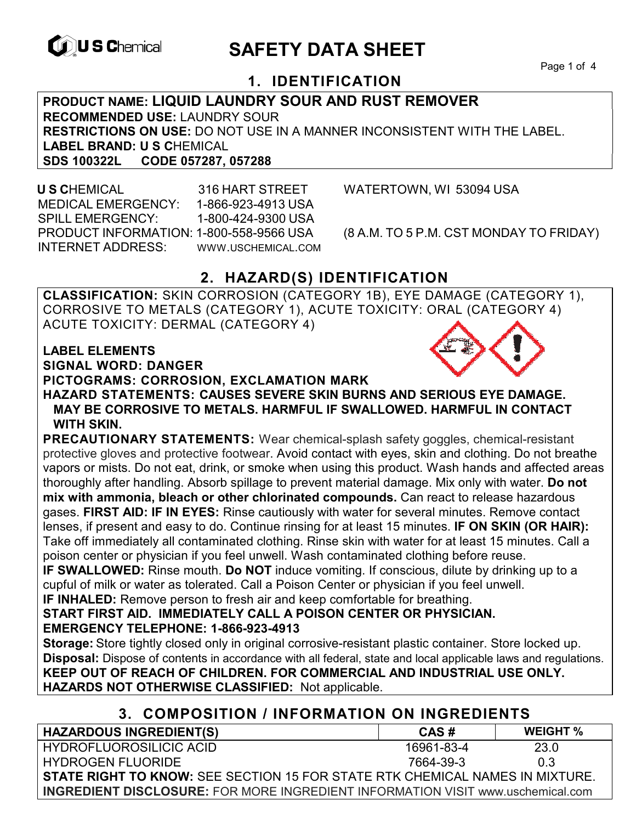

# **EXAMPLE THE SAFETY DATA SHEET**

Page 1 of 4

## **1. IDENTIFICATION**

**PRODUCT NAME: LIQUID LAUNDRY SOUR AND RUST REMOVER RECOMMENDED USE:** LAUNDRY SOUR **RESTRICTIONS ON USE:** DO NOT USE IN A MANNER INCONSISTENT WITH THE LABEL. **LABEL BRAND: U S C**HEMICAL **SDS 100322L CODE 057287, 057288** 

 **U S C**HEMICAL 316 HART STREET WATERTOWN, WI 53094 USA MEDICAL EMERGENCY: 1-866-923-4913 USA SPILL EMERGENCY: 1-800-424-9300 USA PRODUCT INFORMATION: 1-800-558-9566 USA (8 A.M. TO 5 P.M. CST MONDAY TO FRIDAY) INTERNET ADDRESS: WWW.USCHEMICAL.COM

## **2. HAZARD(S) IDENTIFICATION**

**CLASSIFICATION:** SKIN CORROSION (CATEGORY 1B), EYE DAMAGE (CATEGORY 1), CORROSIVE TO METALS (CATEGORY 1), ACUTE TOXICITY: ORAL (CATEGORY 4) ACUTE TOXICITY: DERMAL (CATEGORY 4)

### **LABEL ELEMENTS**

**SIGNAL WORD: DANGER**

**PICTOGRAMS: CORROSION, EXCLAMATION MARK**

**HAZARD STATEMENTS: CAUSES SEVERE SKIN BURNS AND SERIOUS EYE DAMAGE. MAY BE CORROSIVE TO METALS. HARMFUL IF SWALLOWED. HARMFUL IN CONTACT WITH SKIN.**

**PRECAUTIONARY STATEMENTS:** Wear chemical-splash safety goggles, chemical-resistant protective gloves and protective footwear. Avoid contact with eyes, skin and clothing. Do not breathe vapors or mists. Do not eat, drink, or smoke when using this product. Wash hands and affected areas thoroughly after handling. Absorb spillage to prevent material damage. Mix only with water. **Do not mix with ammonia, bleach or other chlorinated compounds.** Can react to release hazardous gases. **FIRST AID: IF IN EYES:** Rinse cautiously with water for several minutes. Remove contact lenses, if present and easy to do. Continue rinsing for at least 15 minutes. **IF ON SKIN (OR HAIR):** Take off immediately all contaminated clothing. Rinse skin with water for at least 15 minutes. Call a poison center or physician if you feel unwell. Wash contaminated clothing before reuse.

**IF SWALLOWED:** Rinse mouth. **Do NOT** induce vomiting. If conscious, dilute by drinking up to a cupful of milk or water as tolerated. Call a Poison Center or physician if you feel unwell.

**IF INHALED:** Remove person to fresh air and keep comfortable for breathing.

**START FIRST AID. IMMEDIATELY CALL A POISON CENTER OR PHYSICIAN. EMERGENCY TELEPHONE: 1-866-923-4913** 

**Storage:** Store tightly closed only in original corrosive-resistant plastic container. Store locked up. **Disposal:** Dispose of contents in accordance with all federal, state and local applicable laws and regulations. **KEEP OUT OF REACH OF CHILDREN. FOR COMMERCIAL AND INDUSTRIAL USE ONLY. HAZARDS NOT OTHERWISE CLASSIFIED:** Not applicable.

### **3. COMPOSITION / INFORMATION ON INGREDIENTS**

| <b>HAZARDOUS INGREDIENT(S)</b>                                                         | CAS#       | <b>WEIGHT %</b> |  |
|----------------------------------------------------------------------------------------|------------|-----------------|--|
| <b>HYDROFLUOROSILICIC ACID</b>                                                         | 16961-83-4 | 23.0            |  |
| <b>HYDROGEN FLUORIDE</b>                                                               | 7664-39-3  | 0.3             |  |
| <b>STATE RIGHT TO KNOW: SEE SECTION 15 FOR STATE RTK CHEMICAL NAMES IN MIXTURE.</b>    |            |                 |  |
| <b>INGREDIENT DISCLOSURE:</b> FOR MORE INGREDIENT INFORMATION VISIT www.uschemical.com |            |                 |  |

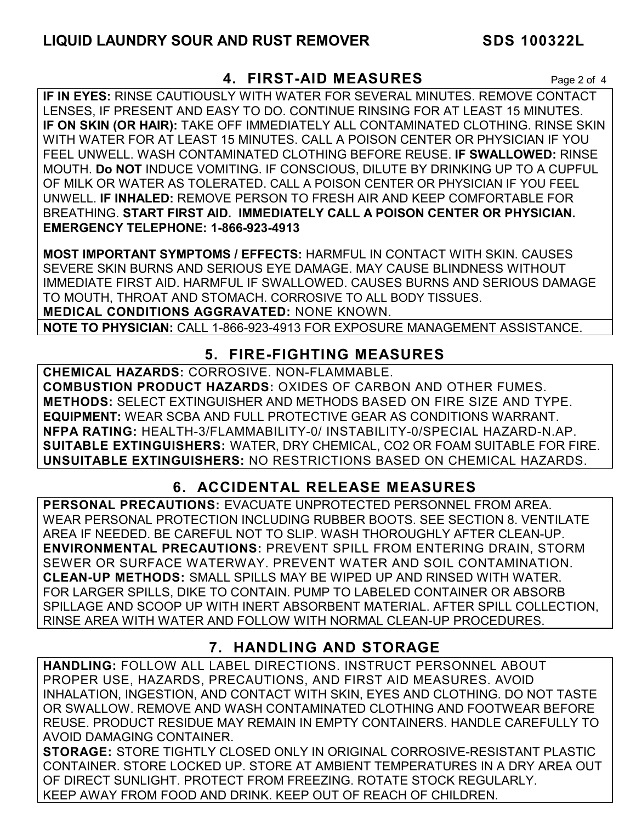### **4. FIRST-AID MEASURES** Page 2 of 4

**IF IN EYES:** RINSE CAUTIOUSLY WITH WATER FOR SEVERAL MINUTES. REMOVE CONTACT LENSES, IF PRESENT AND EASY TO DO. CONTINUE RINSING FOR AT LEAST 15 MINUTES. **IF ON SKIN (OR HAIR):** TAKE OFF IMMEDIATELY ALL CONTAMINATED CLOTHING. RINSE SKIN WITH WATER FOR AT LEAST 15 MINUTES. CALL A POISON CENTER OR PHYSICIAN IF YOU FEEL UNWELL. WASH CONTAMINATED CLOTHING BEFORE REUSE. **IF SWALLOWED:** RINSE MOUTH. **Do NOT** INDUCE VOMITING. IF CONSCIOUS, DILUTE BY DRINKING UP TO A CUPFUL OF MILK OR WATER AS TOLERATED. CALL A POISON CENTER OR PHYSICIAN IF YOU FEEL UNWELL. **IF INHALED:** REMOVE PERSON TO FRESH AIR AND KEEP COMFORTABLE FOR BREATHING. **START FIRST AID. IMMEDIATELY CALL A POISON CENTER OR PHYSICIAN. EMERGENCY TELEPHONE: 1-866-923-4913**

**MOST IMPORTANT SYMPTOMS / EFFECTS:** HARMFUL IN CONTACT WITH SKIN. CAUSES SEVERE SKIN BURNS AND SERIOUS EYE DAMAGE. MAY CAUSE BLINDNESS WITHOUT IMMEDIATE FIRST AID. HARMFUL IF SWALLOWED. CAUSES BURNS AND SERIOUS DAMAGE TO MOUTH, THROAT AND STOMACH. CORROSIVE TO ALL BODY TISSUES. **MEDICAL CONDITIONS AGGRAVATED:** NONE KNOWN.

**NOTE TO PHYSICIAN:** CALL 1-866-923-4913 FOR EXPOSURE MANAGEMENT ASSISTANCE.

### **5. FIRE-FIGHTING MEASURES**

**CHEMICAL HAZARDS:** CORROSIVE. NON-FLAMMABLE. **COMBUSTION PRODUCT HAZARDS:** OXIDES OF CARBON AND OTHER FUMES. **METHODS:** SELECT EXTINGUISHER AND METHODS BASED ON FIRE SIZE AND TYPE. **EQUIPMENT:** WEAR SCBA AND FULL PROTECTIVE GEAR AS CONDITIONS WARRANT. **NFPA RATING:** HEALTH-3/FLAMMABILITY-0/ INSTABILITY-0/SPECIAL HAZARD-N.AP. **SUITABLE EXTINGUISHERS:** WATER, DRY CHEMICAL, CO2 OR FOAM SUITABLE FOR FIRE. **UNSUITABLE EXTINGUISHERS:** NO RESTRICTIONS BASED ON CHEMICAL HAZARDS.

# **6. ACCIDENTAL RELEASE MEASURES**

**PERSONAL PRECAUTIONS:** EVACUATE UNPROTECTED PERSONNEL FROM AREA. WEAR PERSONAL PROTECTION INCLUDING RUBBER BOOTS. SEE SECTION 8. VENTILATE AREA IF NEEDED. BE CAREFUL NOT TO SLIP. WASH THOROUGHLY AFTER CLEAN-UP. **ENVIRONMENTAL PRECAUTIONS:** PREVENT SPILL FROM ENTERING DRAIN, STORM SEWER OR SURFACE WATERWAY. PREVENT WATER AND SOIL CONTAMINATION. **CLEAN-UP METHODS:** SMALL SPILLS MAY BE WIPED UP AND RINSED WITH WATER. FOR LARGER SPILLS, DIKE TO CONTAIN. PUMP TO LABELED CONTAINER OR ABSORB SPILLAGE AND SCOOP UP WITH INERT ABSORBENT MATERIAL. AFTER SPILL COLLECTION, RINSE AREA WITH WATER AND FOLLOW WITH NORMAL CLEAN-UP PROCEDURES.

### **7. HANDLING AND STORAGE**

**HANDLING:** FOLLOW ALL LABEL DIRECTIONS. INSTRUCT PERSONNEL ABOUT PROPER USE, HAZARDS, PRECAUTIONS, AND FIRST AID MEASURES. AVOID INHALATION, INGESTION, AND CONTACT WITH SKIN, EYES AND CLOTHING. DO NOT TASTE OR SWALLOW. REMOVE AND WASH CONTAMINATED CLOTHING AND FOOTWEAR BEFORE REUSE. PRODUCT RESIDUE MAY REMAIN IN EMPTY CONTAINERS. HANDLE CAREFULLY TO AVOID DAMAGING CONTAINER.

**STORAGE:** STORE TIGHTLY CLOSED ONLY IN ORIGINAL CORROSIVE-RESISTANT PLASTIC CONTAINER. STORE LOCKED UP. STORE AT AMBIENT TEMPERATURES IN A DRY AREA OUT OF DIRECT SUNLIGHT. PROTECT FROM FREEZING. ROTATE STOCK REGULARLY. KEEP AWAY FROM FOOD AND DRINK. KEEP OUT OF REACH OF CHILDREN.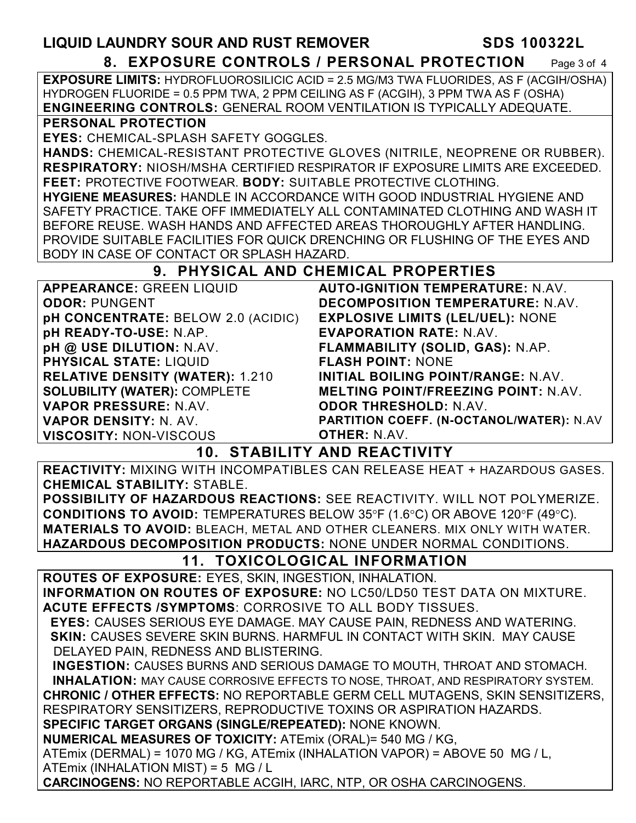#### **LIQUID LAUNDRY SOUR AND RUST REMOVER SDS 100322L 8. EXPOSURE CONTROLS / PERSONAL PROTECTION** Page 3 of 4 **EXPOSURE LIMITS:** HYDROFLUOROSILICIC ACID = 2.5 MG/M3 TWA FLUORIDES, AS F (ACGIH/OSHA) HYDROGEN FLUORIDE = 0.5 PPM TWA, 2 PPM CEILING AS F (ACGIH), 3 PPM TWA AS F (OSHA) **ENGINEERING CONTROLS:** GENERAL ROOM VENTILATION IS TYPICALLY ADEQUATE. **PERSONAL PROTECTION EYES:** CHEMICAL-SPLASH SAFETY GOGGLES. **HANDS:** CHEMICAL-RESISTANT PROTECTIVE GLOVES (NITRILE, NEOPRENE OR RUBBER). **RESPIRATORY:** NIOSH/MSHA CERTIFIED RESPIRATOR IF EXPOSURE LIMITS ARE EXCEEDED. **FEET:** PROTECTIVE FOOTWEAR. **BODY:** SUITABLE PROTECTIVE CLOTHING. **HYGIENE MEASURES:** HANDLE IN ACCORDANCE WITH GOOD INDUSTRIAL HYGIENE AND SAFETY PRACTICE. TAKE OFF IMMEDIATELY ALL CONTAMINATED CLOTHING AND WASH IT BEFORE REUSE. WASH HANDS AND AFFECTED AREAS THOROUGHLY AFTER HANDLING. PROVIDE SUITABLE FACILITIES FOR QUICK DRENCHING OR FLUSHING OF THE EYES AND BODY IN CASE OF CONTACT OR SPLASH HAZARD. **9. PHYSICAL AND CHEMICAL PROPERTIES APPEARANCE:** GREEN LIQUID **ODOR:** PUNGENT **pH CONCENTRATE:** BELOW 2.0 (ACIDIC) **pH READY-TO-USE:** N.AP. **pH @ USE DILUTION:** N.AV. **PHYSICAL STATE:** LIQUID **RELATIVE DENSITY (WATER):** 1.210 **SOLUBILITY (WATER):** COMPLETE **VAPOR PRESSURE:** N.AV. **VAPOR DENSITY:** N. AV. **VISCOSITY:** NON-VISCOUS **AUTO-IGNITION TEMPERATURE:** N.AV. **DECOMPOSITION TEMPERATURE:** N.AV. **EXPLOSIVE LIMITS (LEL/UEL):** NONE **EVAPORATION RATE:** N.AV. **FLAMMABILITY (SOLID, GAS):** N.AP. **FLASH POINT:** NONE **INITIAL BOILING POINT/RANGE:** N.AV. **MELTING POINT/FREEZING POINT:** N.AV. **ODOR THRESHOLD:** N.AV. **PARTITION COEFF. (N-OCTANOL/WATER):** N.AV **OTHER:** N.AV. **10. STABILITY AND REACTIVITY REACTIVITY:** MIXING WITH INCOMPATIBLES CAN RELEASE HEAT + HAZARDOUS GASES. **CHEMICAL STABILITY:** STABLE. **POSSIBILITY OF HAZARDOUS REACTIONS:** SEE REACTIVITY. WILL NOT POLYMERIZE. **CONDITIONS TO AVOID:** TEMPERATURES BELOW 35°F (1.6°C) OR ABOVE 120°F (49°C). **MATERIALS TO AVOID:** BLEACH, METAL AND OTHER CLEANERS. MIX ONLY WITH WATER. **HAZARDOUS DECOMPOSITION PRODUCTS:** NONE UNDER NORMAL CONDITIONS.

### **11. TOXICOLOGICAL INFORMATION**

**ROUTES OF EXPOSURE:** EYES, SKIN, INGESTION, INHALATION.

**INFORMATION ON ROUTES OF EXPOSURE:** NO LC50/LD50 TEST DATA ON MIXTURE. **ACUTE EFFECTS /SYMPTOMS**: CORROSIVE TO ALL BODY TISSUES.

 **EYES:** CAUSES SERIOUS EYE DAMAGE. MAY CAUSE PAIN, REDNESS AND WATERING.  **SKIN:** CAUSES SEVERE SKIN BURNS. HARMFUL IN CONTACT WITH SKIN. MAY CAUSE DELAYED PAIN, REDNESS AND BLISTERING.

 **INGESTION:** CAUSES BURNS AND SERIOUS DAMAGE TO MOUTH, THROAT AND STOMACH. **INHALATION:** MAY CAUSE CORROSIVE EFFECTS TO NOSE, THROAT, AND RESPIRATORY SYSTEM. **CHRONIC / OTHER EFFECTS:** NO REPORTABLE GERM CELL MUTAGENS, SKIN SENSITIZERS, RESPIRATORY SENSITIZERS, REPRODUCTIVE TOXINS OR ASPIRATION HAZARDS.

**SPECIFIC TARGET ORGANS (SINGLE/REPEATED):** NONE KNOWN.

**NUMERICAL MEASURES OF TOXICITY:** ATEmix (ORAL)= 540 MG / KG,

ATEmix (DERMAL) = 1070 MG / KG, ATEmix (INHALATION VAPOR) = ABOVE 50 MG / L, ATEmix (INHALATION MIST) = 5 MG / L

**CARCINOGENS:** NO REPORTABLE ACGIH, IARC, NTP, OR OSHA CARCINOGENS.